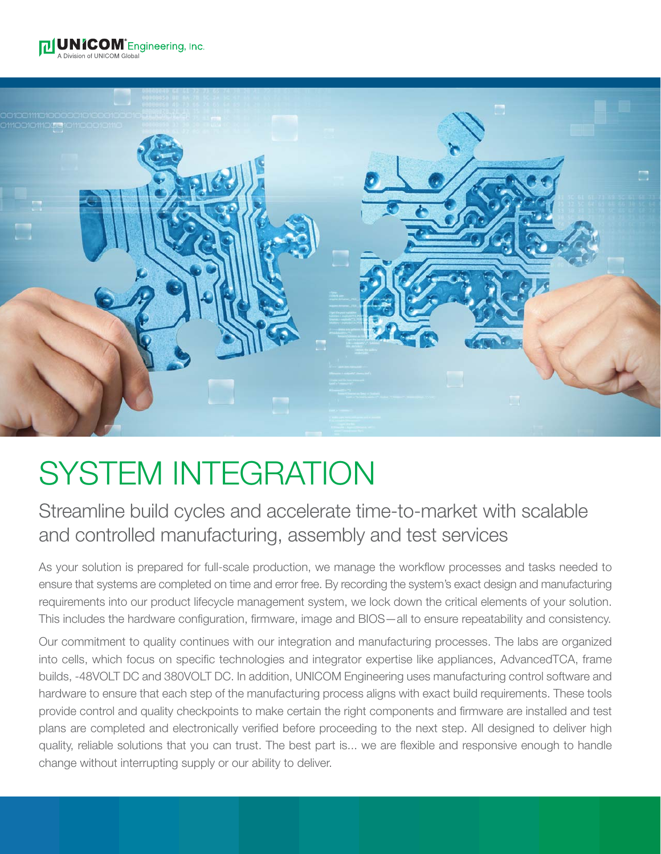



# SYSTEM INTEGRATION

### Streamline build cycles and accelerate time-to-market with scalable and controlled manufacturing, assembly and test services

As your solution is prepared for full-scale production, we manage the workflow processes and tasks needed to ensure that systems are completed on time and error free. By recording the system's exact design and manufacturing requirements into our product lifecycle management system, we lock down the critical elements of your solution. This includes the hardware configuration, firmware, image and BIOS—all to ensure repeatability and consistency.

Our commitment to quality continues with our integration and manufacturing processes. The labs are organized into cells, which focus on specific technologies and integrator expertise like appliances, AdvancedTCA, frame builds, -48VOLT DC and 380VOLT DC. In addition, UNICOM Engineering uses manufacturing control software and hardware to ensure that each step of the manufacturing process aligns with exact build requirements. These tools provide control and quality checkpoints to make certain the right components and firmware are installed and test plans are completed and electronically verified before proceeding to the next step. All designed to deliver high quality, reliable solutions that you can trust. The best part is... we are flexible and responsive enough to handle change without interrupting supply or our ability to deliver.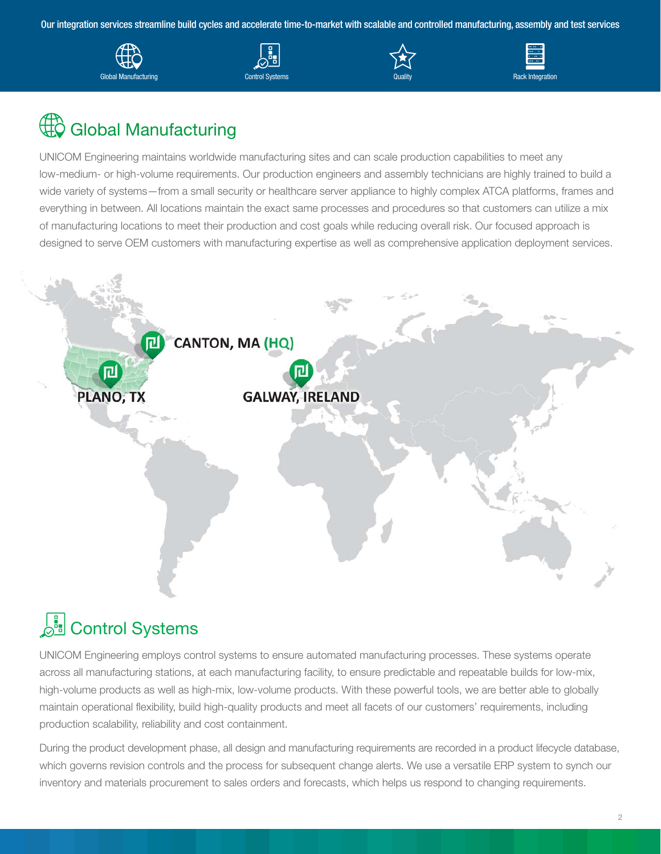Our integration services streamline build cycles and accelerate time-to-market with scalable and controlled manufacturing, assembly and test services









### Global Manufacturing

UNICOM Engineering maintains worldwide manufacturing sites and can scale production capabilities to meet any low-medium- or high-volume requirements. Our production engineers and assembly technicians are highly trained to build a wide variety of systems—from a small security or healthcare server appliance to highly complex ATCA platforms, frames and everything in between. All locations maintain the exact same processes and procedures so that customers can utilize a mix of manufacturing locations to meet their production and cost goals while reducing overall risk. Our focused approach is designed to serve OEM customers with manufacturing expertise as well as comprehensive application deployment services.



## **Control Systems**

UNICOM Engineering employs control systems to ensure automated manufacturing processes. These systems operate across all manufacturing stations, at each manufacturing facility, to ensure predictable and repeatable builds for low-mix, high-volume products as well as high-mix, low-volume products. With these powerful tools, we are better able to globally maintain operational flexibility, build high-quality products and meet all facets of our customers' requirements, including production scalability, reliability and cost containment.

During the product development phase, all design and manufacturing requirements are recorded in a product lifecycle database, which governs revision controls and the process for subsequent change alerts. We use a versatile ERP system to synch our inventory and materials procurement to sales orders and forecasts, which helps us respond to changing requirements.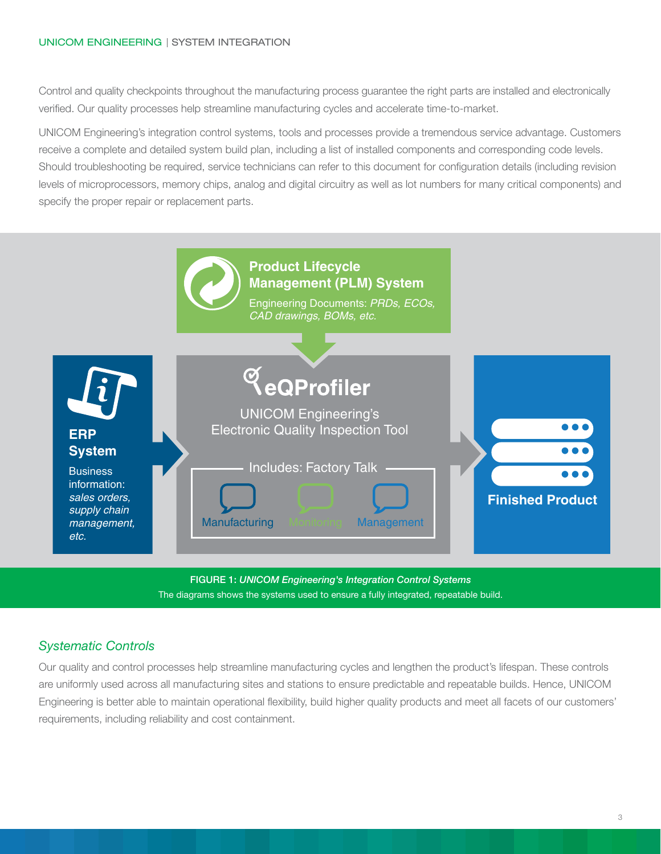#### UNICOM ENGINEERING | SYSTEM INTEGRATION

Control and quality checkpoints throughout the manufacturing process guarantee the right parts are installed and electronically verified. Our quality processes help streamline manufacturing cycles and accelerate time-to-market.

UNICOM Engineering's integration control systems, tools and processes provide a tremendous service advantage. Customers receive a complete and detailed system build plan, including a list of installed components and corresponding code levels. Should troubleshooting be required, service technicians can refer to this document for configuration details (including revision levels of microprocessors, memory chips, analog and digital circuitry as well as lot numbers for many critical components) and specify the proper repair or replacement parts.



**FIGURE 1:** *UNICOM Engineering's Integration Control Systems* The diagrams shows the systems used to ensure a fully integrated, repeatable build.

#### *Systematic Controls*

Our quality and control processes help streamline manufacturing cycles and lengthen the product's lifespan. These controls are uniformly used across all manufacturing sites and stations to ensure predictable and repeatable builds. Hence, UNICOM Engineering is better able to maintain operational flexibility, build higher quality products and meet all facets of our customers' requirements, including reliability and cost containment.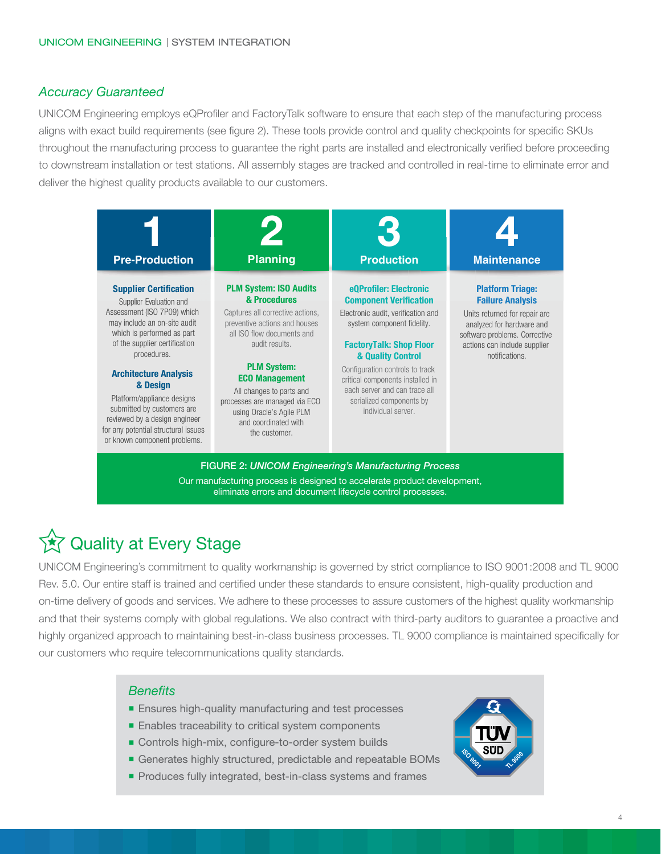#### *Accuracy Guaranteed*

UNICOM Engineering employs eQProfiler and FactoryTalk software to ensure that each step of the manufacturing process aligns with exact build requirements (see figure 2). These tools provide control and quality checkpoints for specific SKUs throughout the manufacturing process to guarantee the right parts are installed and electronically verified before proceeding to downstream installation or test stations. All assembly stages are tracked and controlled in real-time to eliminate error and deliver the highest quality products available to our customers.



**FIGURE 2:** *UNICOM Engineering's Manufacturing Process* Our manufacturing process is designed to accelerate product development, eliminate errors and document lifecycle control processes.

### **☆ Quality at Every Stage**

UNICOM Engineering's commitment to quality workmanship is governed by strict compliance to ISO 9001:2008 and TL 9000 Rev. 5.0. Our entire staff is trained and certified under these standards to ensure consistent, high-quality production and on-time delivery of goods and services. We adhere to these processes to assure customers of the highest quality workmanship and that their systems comply with global regulations. We also contract with third-party auditors to guarantee a proactive and highly organized approach to maintaining best-in-class business processes. TL 9000 compliance is maintained specifically for our customers who require telecommunications quality standards.

#### *Benefits*

- **Ensures high-quality manufacturing and test processes**
- Enables traceability to critical system components
- Controls high-mix, configure-to-order system builds
- Generates highly structured, predictable and repeatable BOMs
- **Produces fully integrated, best-in-class systems and frames**

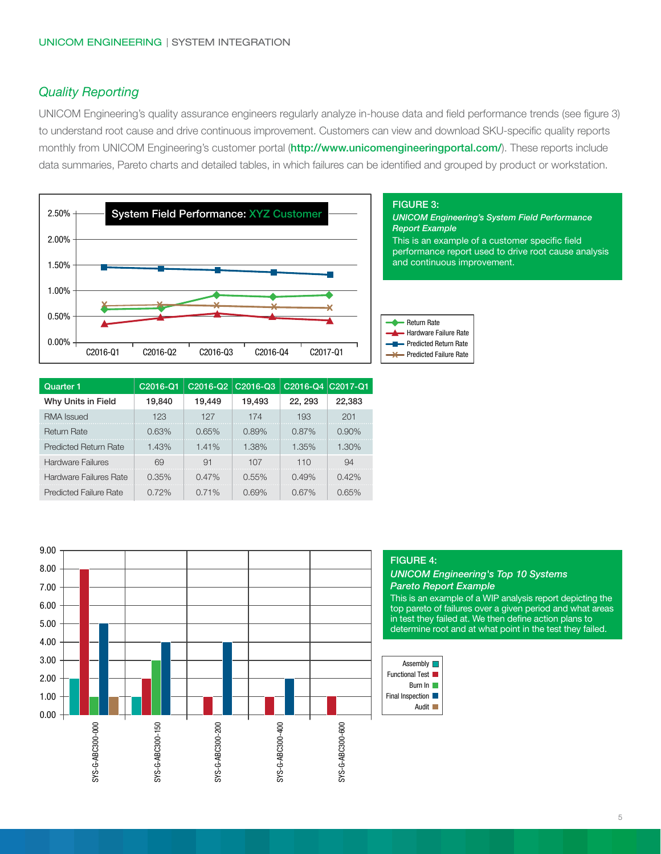#### *Quality Reporting*

UNICOM Engineering's quality assurance engineers regularly analyze in-house data and field performance trends (see figure 3) to understand root cause and drive continuous improvement. Customers can view and download SKU-specific quality reports monthly from UNICOM Engineering's customer portal (**http://www.unicomengineeringportal.com/**). These reports include data summaries, Pareto charts and detailed tables, in which failures can be identified and grouped by product or workstation.



| Quarter 1                     | C2016-Q1 | C2016-Q2 | C <sub>2016</sub> -Q <sub>3</sub> | C2016-Q4 C2017-Q1 |          |
|-------------------------------|----------|----------|-----------------------------------|-------------------|----------|
| Why Units in Field            | 19,840   | 19,449   | 19,493                            | 22.293            | 22,383   |
| <b>RMA</b> Issued             | 123      | 127      | 174                               | 193               | 201      |
| <b>Return Rate</b>            | 0.63%    | 0.65%    | 0.89%                             | $0.87\%$          | $0.90\%$ |
| <b>Predicted Return Rate</b>  | 1.43%    | 1.41%    | 1.38%                             | 1.35%             | $1.30\%$ |
| Hardware Failures             | 69       | 91       | 107                               | 110               | .94      |
| <b>Hardware Failures Rate</b> | 0.35%    | 0.47%    | 0.55%                             | 0.49%             | 0.42%    |
| <b>Predicted Failure Rate</b> | 0.72%    | 0.71%    | 0.69%                             | 0.67%             | 0.65%    |



#### **FIGURE 3:**

*UNICOM Engineering's System Field Performance Report Example* This is an example of a customer specific field performance report used to drive root cause analysis and continuous improvement.



#### **FIGURE 4:**

*UNICOM Engineering's Top 10 Systems Pareto Report Example*

This is an example of a WIP analysis report depicting the top pareto of failures over a given period and what areas in test they failed at. We then define action plans to determine root and at what point in the test they failed.

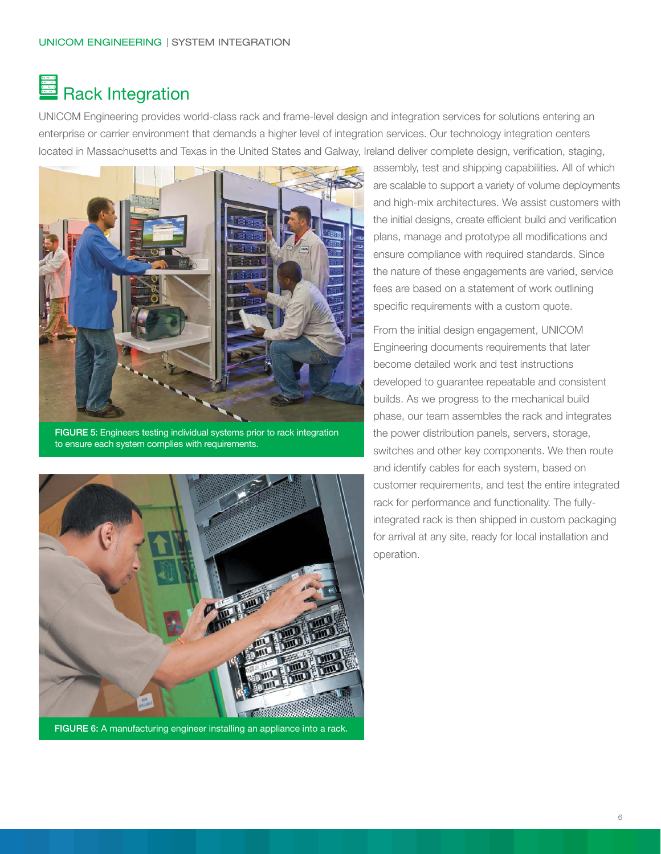## Rack Integration

UNICOM Engineering provides world-class rack and frame-level design and integration services for solutions entering an enterprise or carrier environment that demands a higher level of integration services. Our technology integration centers located in Massachusetts and Texas in the United States and Galway, Ireland deliver complete design, verification, staging,



**FIGURE 5:** Engineers testing individual systems prior to rack integration to ensure each system complies with requirements.



FIGURE 6: A manufacturing engineer installing an appliance into a rack.

assembly, test and shipping capabilities. All of which are scalable to support a variety of volume deployments and high-mix architectures. We assist customers with the initial designs, create efficient build and verification plans, manage and prototype all modifications and ensure compliance with required standards. Since the nature of these engagements are varied, service fees are based on a statement of work outlining specific requirements with a custom quote.

From the initial design engagement, UNICOM Engineering documents requirements that later become detailed work and test instructions developed to guarantee repeatable and consistent builds. As we progress to the mechanical build phase, our team assembles the rack and integrates the power distribution panels, servers, storage, switches and other key components. We then route and identify cables for each system, based on customer requirements, and test the entire integrated rack for performance and functionality. The fullyintegrated rack is then shipped in custom packaging for arrival at any site, ready for local installation and operation.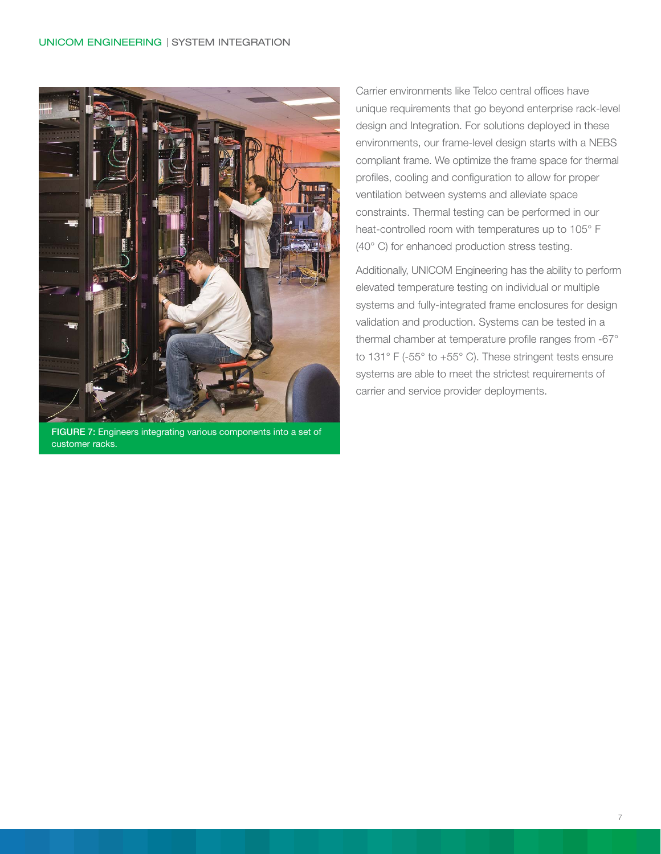

**FIGURE 7:** Engineers integrating various components into a set of customer racks.

Carrier environments like Telco central offices have unique requirements that go beyond enterprise rack-level design and Integration. For solutions deployed in these environments, our frame-level design starts with a NEBS compliant frame. We optimize the frame space for thermal profiles, cooling and configuration to allow for proper ventilation between systems and alleviate space constraints. Thermal testing can be performed in our heat-controlled room with temperatures up to 105° F (40° C) for enhanced production stress testing.

Additionally, UNICOM Engineering has the ability to perform elevated temperature testing on individual or multiple systems and fully-integrated frame enclosures for design validation and production. Systems can be tested in a thermal chamber at temperature profile ranges from -67° to 131° F (-55° to +55° C). These stringent tests ensure systems are able to meet the strictest requirements of carrier and service provider deployments.